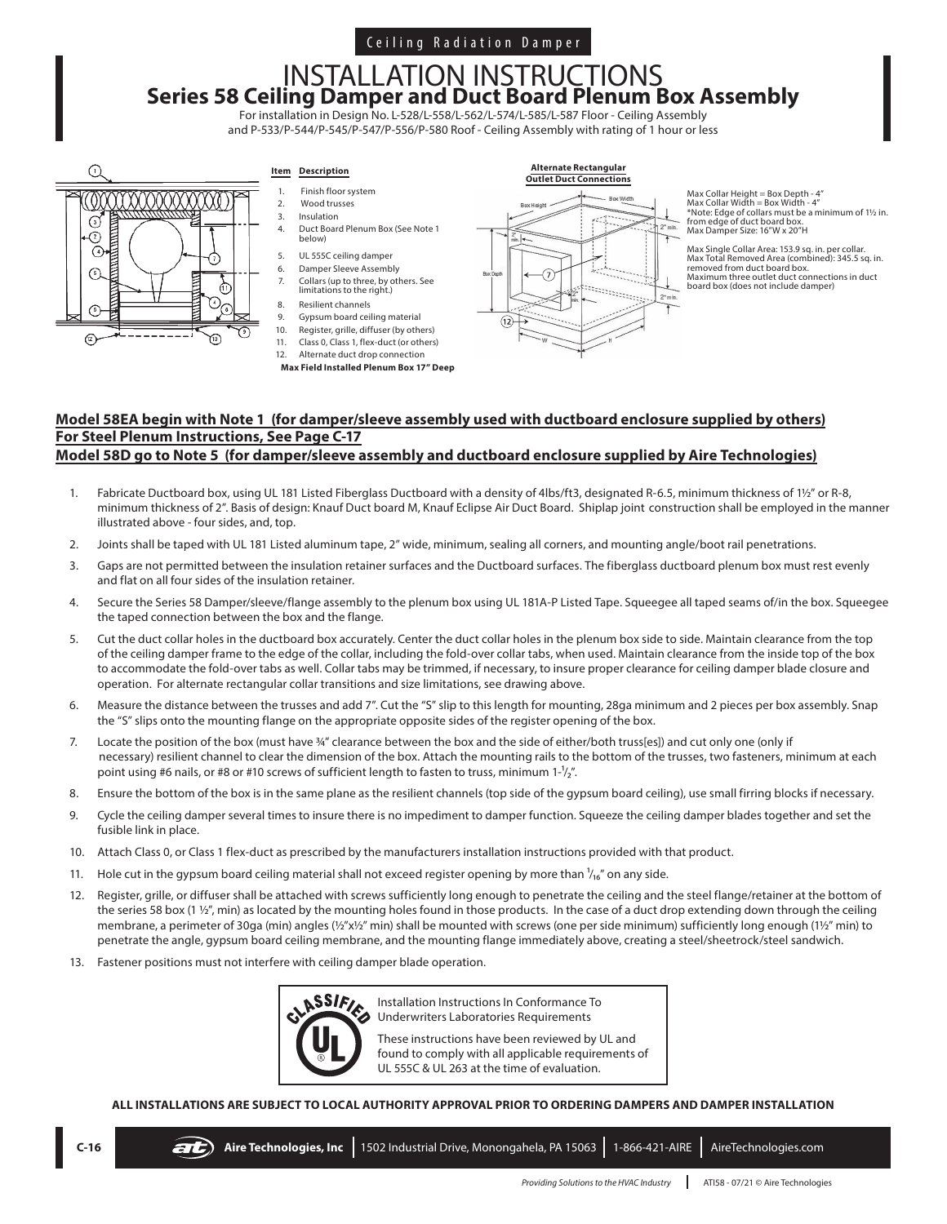## Ceiling Radiation Damper

# INSTALLATION INSTRUCTIONS **Series 58 Ceiling Damper and Duct Board Plenum Box Assembly**

For installation in Design No. L-528/L-558/L-562/L-574/L-585/L-587 Floor - Ceiling Assembly and P-533/P-544/P-545/P-547/P-556/P-580 Roof - Ceiling Assembly with rating of 1 hour or less



### **Item Description**

- 1. Finish floor system 2. Wood trusses
- 3. Insulation<br>4. Duct Board
- 4. Duct Board Plenum Box (See Note 1 below)
- 5. UL 555C ceiling damper
- 6. Damper Sleeve Assembly
- 7. Collars (up to three, by others. See limitations to the right.)
- 8. Resilient channels
- 9. Gypsum board ceiling material 10. Register, grille, diffuser (by others)
- 11. Class 0, Class 1, flex-duct (or others)
- 12. Alternate duct drop connection
- **Max Field Installed Plenum Box 17" Deep**



 $Max$  Collar Height = Box Depth - 4' Max Collar Width = Box Width - 4" \*Note: Edge of collars must be a minimum of 1½ in. from edge of duct board box. Max Damper Size: 16"W x 20"H

Max Single Collar Area: 153.9 sq. in. per collar. Max Total Removed Area (combined): 345.5 sq. in. removed from duct board box. Maximum three outlet duct connections in duct board box (does not include damper)

#### **Model 58EA begin with Note 1 (for damper/sleeve assembly used with ductboard enclosure supplied by others) For Steel Plenum Instructions, See Page C-17 Model 58D go to Note 5 (for damper/sleeve assembly and ductboard enclosure supplied by Aire Technologies)**

- 1. Fabricate Ductboard box, using UL 181 Listed Fiberglass Ductboard with a density of 4lbs/ft3, designated R-6.5, minimum thickness of 1½" or R-8, minimum thickness of 2". Basis of design: Knauf Duct board M, Knauf Eclipse Air Duct Board. Shiplap joint construction shall be employed in the manner illustrated above - four sides, and, top.
- 2. Joints shall be taped with UL 181 Listed aluminum tape, 2" wide, minimum, sealing all corners, and mounting angle/boot rail penetrations.
- 3. Gaps are not permitted between the insulation retainer surfaces and the Ductboard surfaces. The fiberglass ductboard plenum box must rest evenly and flat on all four sides of the insulation retainer.
- 4. Secure the Series 58 Damper/sleeve/flange assembly to the plenum box using UL 181A-P Listed Tape. Squeegee all taped seams of/in the box. Squeegee the taped connection between the box and the flange.
- 5. Cut the duct collar holes in the ductboard box accurately. Center the duct collar holes in the plenum box side to side. Maintain clearance from the top of the ceiling damper frame to the edge of the collar, including the fold-over collar tabs, when used. Maintain clearance from the inside top of the box to accommodate the fold-over tabs as well. Collar tabs may be trimmed, if necessary, to insure proper clearance for ceiling damper blade closure and operation. For alternate rectangular collar transitions and size limitations, see drawing above.
- 6. Measure the distance between the trusses and add 7". Cut the "S" slip to this length for mounting, 28ga minimum and 2 pieces per box assembly. Snap the "S" slips onto the mounting flange on the appropriate opposite sides of the register opening of the box.
- 7. Locate the position of the box (must have ¾" clearance between the box and the side of either/both truss[es]) and cut only one (only if necessary) resilient channel to clear the dimension of the box. Attach the mounting rails to the bottom of the trusses, two fasteners, minimum at each point using #6 nails, or #8 or #10 screws of sufficient length to fasten to truss, minimum 1- $1/2''$ .
- 8. Ensure the bottom of the box is in the same plane as the resilient channels (top side of the gypsum board ceiling), use small firring blocks if necessary.
- 9. Cycle the ceiling damper several times to insure there is no impediment to damper function. Squeeze the ceiling damper blades together and set the fusible link in place.
- 10. Attach Class 0, or Class 1 flex-duct as prescribed by the manufacturers installation instructions provided with that product.
- 11. Hole cut in the gypsum board ceiling material shall not exceed register opening by more than  $\frac{1}{16}$ " on any side.
- 12. Register, grille, or diffuser shall be attached with screws sufficiently long enough to penetrate the ceiling and the steel flange/retainer at the bottom of the series 58 box (1 1/2", min) as located by the mounting holes found in those products. In the case of a duct drop extending down through the ceiling membrane, a perimeter of 30ga (min) angles (½"x½" min) shall be mounted with screws (one per side minimum) sufficiently long enough (1½" min) to penetrate the angle, gypsum board ceiling membrane, and the mounting flange immediately above, creating a steel/sheetrock/steel sandwich.
- 13. Fastener positions must not interfere with ceiling damper blade operation.



Installation Instructions In Conformance To Underwriters Laboratories Requirements

These instructions have been reviewed by UL and found to comply with all applicable requirements of UL 555C & UL 263 at the time of evaluation.

**ALL INSTALLATIONS ARE SUBJECT TO LOCAL AUTHORITY APPROVAL PRIOR TO ORDERING DAMPERS AND DAMPER INSTALLATION**